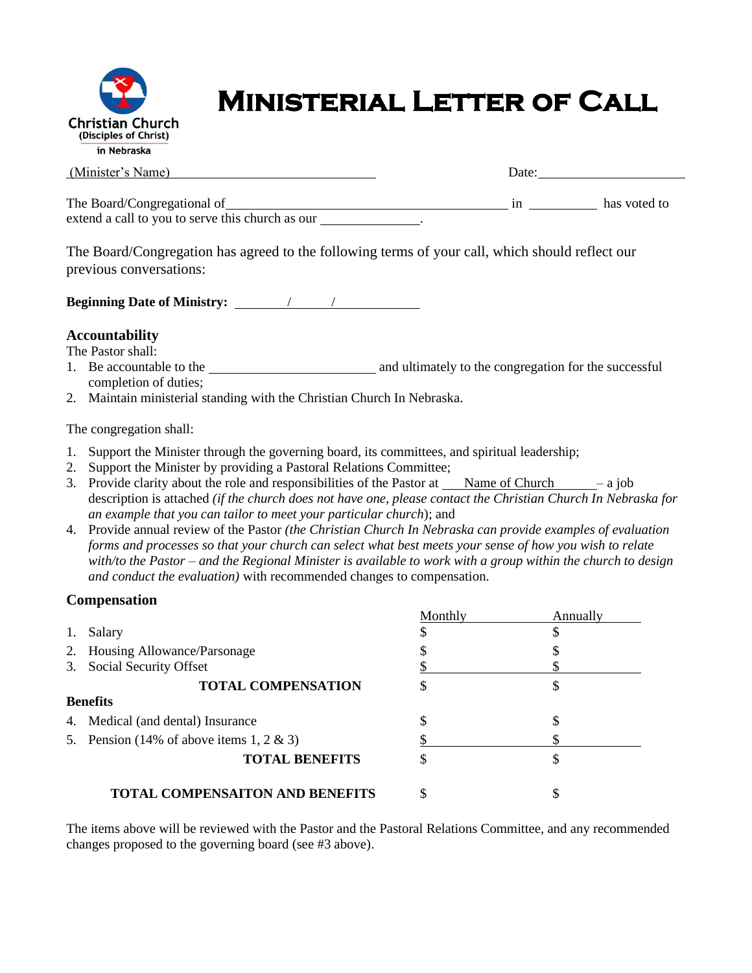

# **Ministerial Letter of Call**

| (Minister's Name)                                                                              | Date: |              |
|------------------------------------------------------------------------------------------------|-------|--------------|
| extend a call to you to serve this church as our                                               |       | has voted to |
| The Board/Congregation has agreed to the following terms of your call which should reflect our |       |              |

The Board/Congregation has agreed to the following terms of your call, which should reflect our previous conversations:

**Beginning Date of Ministry:** / /

## **Accountability**

The Pastor shall:

- 1. Be accountable to the and ultimately to the congregation for the successful completion of duties;
- 2. Maintain ministerial standing with the Christian Church In Nebraska.

The congregation shall:

- 1. Support the Minister through the governing board, its committees, and spiritual leadership;
- 2. Support the Minister by providing a Pastoral Relations Committee;
- 3. Provide clarity about the role and responsibilities of the Pastor at  $\blacksquare$  Name of Church  $\blacksquare$  a job description is attached *(if the church does not have one, please contact the Christian Church In Nebraska for an example that you can tailor to meet your particular church*); and
- 4. Provide annual review of the Pastor *(the Christian Church In Nebraska can provide examples of evaluation forms and processes so that your church can select what best meets your sense of how you wish to relate with/to the Pastor – and the Regional Minister is available to work with a group within the church to design and conduct the evaluation)* with recommended changes to compensation.

## **Compensation**

|    |                                          | Monthly | Annually |
|----|------------------------------------------|---------|----------|
| 1. | Salary                                   |         |          |
|    | 2. Housing Allowance/Parsonage           |         |          |
|    | 3. Social Security Offset                |         |          |
|    | <b>TOTAL COMPENSATION</b>                | \$      |          |
|    | <b>Benefits</b>                          |         |          |
|    | 4. Medical (and dental) Insurance        |         |          |
|    | 5. Pension (14% of above items 1, 2 & 3) |         |          |
|    | <b>TOTAL BENEFITS</b>                    | S       |          |
|    | <b>TOTAL COMPENSAITON AND BENEFITS</b>   | \$      |          |

The items above will be reviewed with the Pastor and the Pastoral Relations Committee, and any recommended changes proposed to the governing board (see #3 above).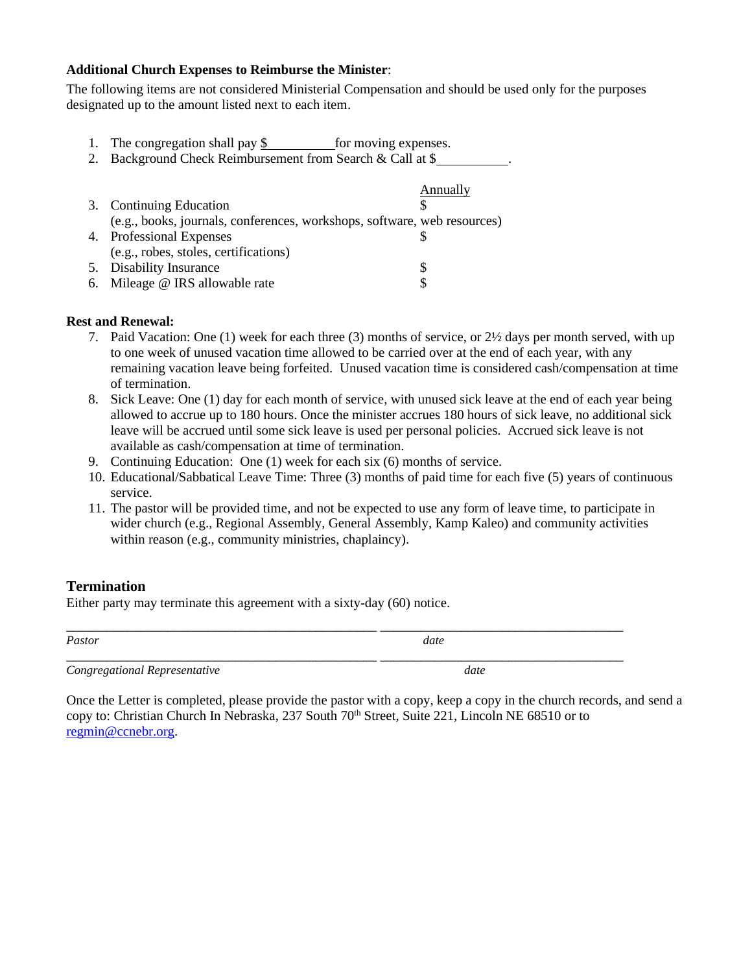#### **Additional Church Expenses to Reimburse the Minister**:

The following items are not considered Ministerial Compensation and should be used only for the purposes designated up to the amount listed next to each item.

- 1. The congregation shall pay  $\frac{1}{2}$  for moving expenses.
- 2. Background Check Reimbursement from Search & Call at \$

|                                                                          | Annually |
|--------------------------------------------------------------------------|----------|
| 3. Continuing Education                                                  |          |
| (e.g., books, journals, conferences, workshops, software, web resources) |          |
| 4. Professional Expenses                                                 |          |
| (e.g., robes, stoles, certifications)                                    |          |
| 5. Disability Insurance                                                  |          |
| 6. Mileage @ IRS allowable rate                                          |          |

### **Rest and Renewal:**

- 7. Paid Vacation: One (1) week for each three (3) months of service, or 2½ days per month served, with up to one week of unused vacation time allowed to be carried over at the end of each year, with any remaining vacation leave being forfeited. Unused vacation time is considered cash/compensation at time of termination.
- 8. Sick Leave: One (1) day for each month of service, with unused sick leave at the end of each year being allowed to accrue up to 180 hours. Once the minister accrues 180 hours of sick leave, no additional sick leave will be accrued until some sick leave is used per personal policies. Accrued sick leave is not available as cash/compensation at time of termination.
- 9. Continuing Education: One (1) week for each six (6) months of service.
- 10. Educational/Sabbatical Leave Time: Three (3) months of paid time for each five (5) years of continuous service.
- 11. The pastor will be provided time, and not be expected to use any form of leave time, to participate in wider church (e.g., Regional Assembly, General Assembly, Kamp Kaleo) and community activities within reason (e.g., community ministries, chaplaincy).

\_\_\_\_\_\_\_\_\_\_\_\_\_\_\_\_\_\_\_\_\_\_\_\_\_\_\_\_\_\_\_\_\_\_\_\_\_\_\_\_\_\_\_\_\_\_ \_\_\_\_\_\_\_\_\_\_\_\_\_\_\_\_\_\_\_\_\_\_\_\_\_\_\_\_\_\_\_\_\_\_\_\_

## **Termination**

Either party may terminate this agreement with a sixty-day (60) notice.

*Pastor date*

*\_\_\_\_\_\_\_\_\_\_\_\_\_\_\_\_\_\_\_\_\_\_\_\_\_\_\_\_\_\_\_\_\_\_\_\_\_\_\_\_\_\_\_\_\_\_ \_\_\_\_\_\_\_\_\_\_\_\_\_\_\_\_\_\_\_\_\_\_\_\_\_\_\_\_\_\_\_\_\_\_\_\_*

*Congregational Representative* date

Once the Letter is completed, please provide the pastor with a copy, keep a copy in the church records, and send a copy to: Christian Church In Nebraska, 237 South 70th Street, Suite 221, Lincoln NE 68510 or to [regmin@ccnebr.org.](mailto:regmin@ccnebr.org)